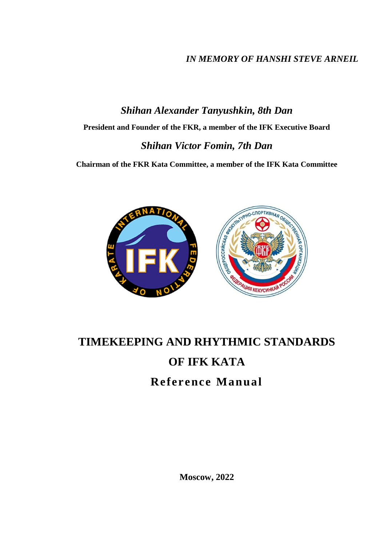# *IN MEMORY OF HANSHI STEVE ARNEIL*

# *Shihan Alexander Tanyushkin, 8th Dan* **President and Founder of the FKR, a member of the IFK Executive Board** *Shihan Victor Fomin, 7th Dan*

**Chairman of the FKR Kata Committee, a member of the IFK Kata Committee**



# **TIMEKEEPING AND RHYTHMIC STANDARDS OF IFK KATA Reference Manual**

**Moscow, 2022**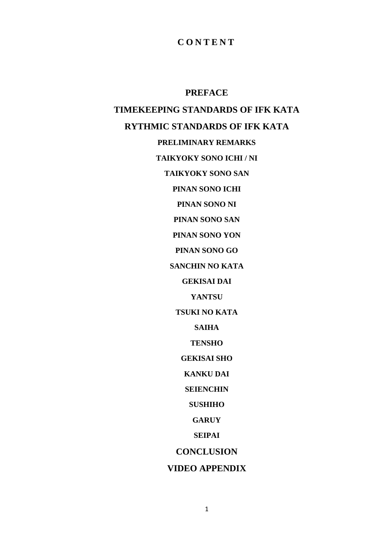# **C O N T E N T**

**PREFACE TIMEKEEPING STANDARDS OF IFK KATA RYTHMIC STANDARDS OF IFK KATA PRELIMINARY REMARKS TAIKYOKY SONO ICHI / NI TAIKYOKY SONO SAN PINAN SONO ICHI PINAN SONO NI PINAN SONO SAN PINAN SONO YON PINAN SONO GO SANCHIN NO KATA GEKISAI DAI YANTSU TSUKI NO KATA SAIHA TENSHO GEKISAI SHO KANKU DAI SEIENCHIN SUSHIHO GARUY SEIPAI CONCLUSION**

**VIDEO APPENDIX**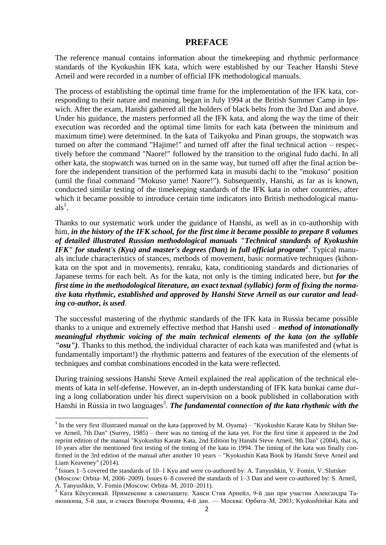#### **PREFACE**

The reference manual contains information about the timekeeping and rhythmic performance standards of the Kyokushin IFK kata, which were established by our Teacher Hanshi Steve Arneil and were recorded in a number of official IFK methodological manuals.

The process of establishing the optimal time frame for the implementation of the IFK kata, corresponding to their nature and meaning, began in July 1994 at the British Summer Camp in Ipswich. After the exam, Hanshi gathered all the holders of black belts from the 3rd Dan and above. Under his guidance, the masters performed all the IFK kata, and along the way the time of their execution was recorded and the optimal time limits for each kata (between the minimum and maximum time) were determined. In the kata of Taikyoku and Pinan groups, the stopwatch was turned on after the command "Hajime!" and turned off after the final technical action – respectively before the command "Naore!" followed by the transition to the original fudo dachi. In all other kata, the stopwatch was turned on in the same way, but turned off after the final action before the independent transition of the performed kata in musubi dachi to the "mokuso" position (until the final command "Mokuso yame! Naore!"). Subsequently, Hanshi, as far as is known, conducted similar testing of the timekeeping standards of the IFK kata in other countries, after which it became possible to introduce certain time indicators into British methodological manu $als<sup>1</sup>$ .

Thanks to our systematic work under the guidance of Hanshi, as well as in co-authorship with him, *in the history of the IFK school, for the first time it became possible to prepare 8 volumes of detailed illustrated Russian methodological manuals "Technical standards of Kyokushin IFK" for student's (Kyu) and master's degrees (Dan) in full official program<sup>2</sup>* . Typical manuals include characteristics of stances, methods of movement, basic normative techniques (kihonkata on the spot and in movements), renraku, kata, conditioning standards and dictionaries of Japanese terms for each belt. As for the kata, not only is the timing indicated here, but *for the first time in the methodological literature, an exact textual (syllabic) form of fixing the normative kata rhythmic, established and approved by Hanshi Steve Arneil as our curator and leading co-author, is used*.

The successful mastering of the rhythmic standards of the IFK kata in Russia became possible thanks to a unique and extremely effective method that Hanshi used – *method of intonationally meaningful rhythmic voicing of the main technical elements of the kata (on the syllable "osu")*. Thanks to this method, the individual character of each kata was manifested and (what is fundamentally important!) the rhythmic patterns and features of the execution of the elements of techniques and combat combinations encoded in the kata were reflected.

During training sessions Hanshi Steve Arneil explained the real application of the technical elements of kata in self-defense. However, an in-depth understanding of IFK kata bunkai came during a long collaboration under his direct supervision on a book published in collaboration with Hanshi in Russia in two languages<sup>3</sup>. The fundamental connection of the kata rhythmic with the

1

 $1$  In the very first illustrated manual on the kata (approved by M. Oyama) – "Kyokushin Karate Kata by Shihan Steve Arneil, 7th Dan" (Surrey, 1985) – there was no timing of the kata yet. For the first time it appeared in the 2nd reprint edition of the manual "Kyokushin Karate Kata, 2nd Edition by Hanshi Steve Arneil, 9th Dan" (2004), that is, 10 years after the mentioned first testing of the timing of the kata in 1994. The timing of the kata was finally confirmed in the 3rd edition of the manual after another 10 years – "Kyokushin Kata Book by Hanshi Steve Arneil and Liam Keaveney" (2014).

<sup>&</sup>lt;sup>2</sup> Issues 1–5 covered the standards of 10–1 Kyu and were co-authored by: A. Tanyushkin, V. Fomin, V. Slutsker

<sup>(</sup>Moscow: Orbita–M, 2006–2009). Issues 6–8 covered the standards of 1–3 Dan and were co-authored by: S. Arneil, А. Tanyushkin, V. Fomin (Moscow: Orbita–M, 2010–2011).

<sup>&</sup>lt;sup>3</sup> Ката Кёкусинкай. Применение в самозащите. Ханси Стив Арнейл, 9-й дан при участии Александра Танюшкина, 5-й дан, и сэнсея Виктора Фомина, 4-й дан. — Москва: Орбита–М, 2003; Kyokushinkai Kata and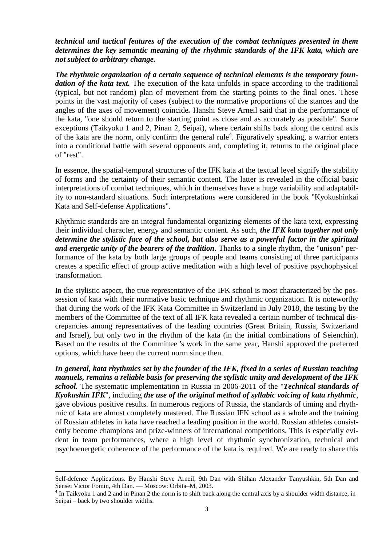#### *technical and tactical features of the execution of the combat techniques presented in them determines the key semantic meaning of the rhythmic standards of the IFK kata, which are not subject to arbitrary change.*

*The rhythmic organization of a certain sequence of technical elements is the temporary foundation of the kata text.* The execution of the kata unfolds in space according to the traditional (typical, but not random) plan of movement from the starting points to the final ones. These points in the vast majority of cases (subject to the normative proportions of the stances and the angles of the axes of movement) coincide*.* Hanshi Steve Arneil said that in the performance of the kata, "one should return to the starting point as close and as accurately as possible". Some exceptions (Taikyoku 1 and 2, Pinan 2, Seipai), where certain shifts back along the central axis of the kata are the norm, only confirm the general rule<sup>4</sup>. Figuratively speaking, a warrior enters into a conditional battle with several opponents and, completing it, returns to the original place of "rest".

In essence, the spatial-temporal structures of the IFK kata at the textual level signify the stability of forms and the certainty of their semantic content. The latter is revealed in the official basic interpretations of combat techniques, which in themselves have a huge variability and adaptability to non-standard situations. Such interpretations were considered in the book "Kyokushinkai Kata and Self-defense Applications".

Rhythmic standards are an integral fundamental organizing elements of the kata text, expressing their individual character, energy and semantic content. As such, *the IFK kata together not only determine the stylistic face of the school, but also serve as a powerful factor in the spiritual and energetic unity of the bearers of the tradition*. Thanks to a single rhythm, the "unison" performance of the kata by both large groups of people and teams consisting of three participants creates a specific effect of group active meditation with a high level of positive psychophysical transformation.

In the stylistic aspect, the true representative of the IFK school is most characterized by the possession of kata with their normative basic technique and rhythmic organization. It is noteworthy that during the work of the IFK Kata Committee in Switzerland in July 2018, the testing by the members of the Committee of the text of all IFK kata revealed a certain number of technical discrepancies among representatives of the leading countries (Great Britain, Russia, Switzerland and Israel), but only two in the rhythm of the kata (in the initial combinations of Seienchin). Based on the results of the Committee 's work in the same year, Hanshi approved the preferred options, which have been the current norm since then.

*In general, kata rhythmics set by the founder of the IFK, fixed in a series of Russian teaching manuels, remains a reliable basis for preserving the stylistic unity and development of the IFK school.* The systematic implementation in Russia in 2006-2011 of the "*Technical standards of Kyokushin IFK*", including *the use of the original method of syllabic voicing of kata rhythmic*, gave obvious positive results. In numerous regions of Russia, the standards of timing and rhythmic of kata are almost completely mastered. The Russian IFK school as a whole and the training of Russian athletes in kata have reached a leading position in the world. Russian athletes consistently become champions and prize-winners of international competitions. This is especially evident in team performances, where a high level of rhythmic synchronization, technical and psychoenergetic coherence of the performance of the kata is required. We are ready to share this

**.** 

Self-defence Applications. By Hanshi Steve Arneil, 9th Dan with Shihan Alexander Tanyushkin, 5th Dan and Sensei Victor Fomin, 4th Dan. — Moscow: Orbita–M, 2003.

 $4$  In Taikyoku 1 and 2 and in Pinan 2 the norm is to shift back along the central axis by a shoulder width distance, in Seipai – back by two shoulder widths.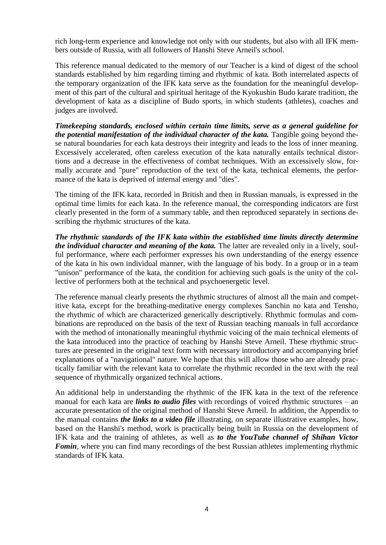rich long-term experience and knowledge not only with our students, but also with all IFK members outside of Russia, with all followers of Hanshi Steve Arneil's school.

This reference manual dedicated to the memory of our Teacher is a kind of digest of the school standards established by him regarding timing and rhythmic of kata. Both interrelated aspects of the temporary organization of the IFK kata serve as the foundation for the meaningful development of this part of the cultural and spiritual heritage of the Kyokushin Budo karate tradition, the development of kata as a discipline of Budo sports, in which students (athletes), coaches and judges are involved.

*Timekeeping standards, enclosed within certain time limits, serve as a general guideline for the potential manifestation of the individual character of the kata.* Tangible going beyond these natural boundaries for each kata destroys their integrity and leads to the loss of inner meaning. Excessively accelerated, often careless execution of the kata naturally entails technical distortions and a decrease in the effectiveness of combat techniques. With an excessively slow, formally accurate and "pure" reproduction of the text of the kata, technical elements, the performance of the kata is deprived of internal energy and "dies".

The timing of the IFK kata, recorded in British and then in Russian manuals, is expressed in the optimal time limits for each kata. In the reference manual, the corresponding indicators are first clearly presented in the form of a summary table, and then reproduced separately in sections describing the rhythmic structures of the kata.

*The rhythmic standards of the IFK kata within the established time limits directly determine the individual character and meaning of the kata.* The latter are revealed only in a lively, soulful performance, where each performer expresses his own understanding of the energy essence of the kata in his own individual manner, with the language of his body. In a group or in a team "unison" performance of the kata, the condition for achieving such goals is the unity of the collective of performers both at the technical and psychoenergetic level.

The reference manual clearly presents the rhythmic structures of almost all the main and competitive kata, except for the breathing-meditative energy complexes Sanchin no kata and Tensho, the rhythmic of which are characterized generically descriptively. Rhythmic formulas and combinations are reproduced on the basis of the text of Russian teaching manuals in full accordance with the method of intonationally meaningful rhythmic voicing of the main technical elements of the kata introduced into the practice of teaching by Hanshi Steve Arneil. These rhythmic structures are presented in the original text form with necessary introductory and accompanying brief explanations of a "navigational" nature. We hope that this will allow those who are already practically familiar with the relevant kata to correlate the rhythmic recorded in the text with the real sequence of rhythmically organized technical actions.

An additional help in understanding the rhythmic of the IFK kata in the text of the reference manual for each kata are *links to audio files* with recordings of voiced rhythmic structures – an accurate presentation of the original method of Hanshi Steve Arneil. In addition, the Appendix to the manual contains *the links to a video file* illustrating, on separate illustrative examples, how, based on the Hanshi's method, work is practically being built in Russia on the development of IFK kata and the training of athletes, as well as *to the YouTube channel of Shihan Victor Fomin*, where you can find many recordings of the best Russian athletes implementing rhythmic standards of IFK kata.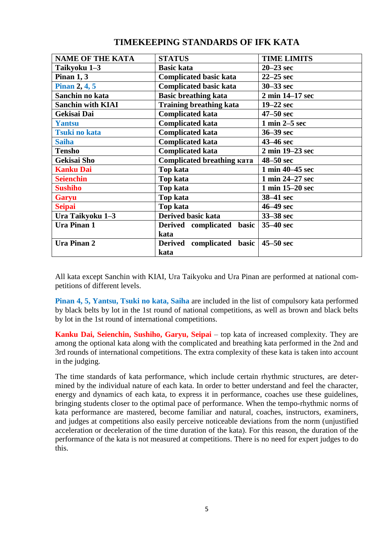|                                     | <b>TIME LIMITS</b>                 |
|-------------------------------------|------------------------------------|
| <b>Basic kata</b>                   | $20 - 23$ sec                      |
| <b>Complicated basic kata</b>       | $22 - 25$ sec                      |
| <b>Complicated basic kata</b>       | $30 - 33$ sec                      |
| <b>Basic breathing kata</b>         | 2 min 14-17 sec                    |
| <b>Training breathing kata</b>      | $19-22$ sec                        |
| <b>Complicated kata</b>             | $47 - 50$ sec                      |
| <b>Complicated kata</b>             | $1 \text{ min } 2 - 5 \text{ sec}$ |
| <b>Complicated kata</b>             | $36 - 39$ sec                      |
| <b>Complicated kata</b>             | 43–46 sec                          |
| <b>Complicated kata</b>             | 2 min 19–23 sec                    |
| Complicated breathing ката          | $48 - 50$ sec                      |
| Top kata                            | 1 min 40–45 sec                    |
| <b>Top kata</b>                     | 1 min 24-27 sec                    |
| <b>Top kata</b>                     | 1 min 15-20 sec                    |
| Top kata                            | 38-41 sec                          |
| Top kata                            | 46–49 sec                          |
| <b>Derived basic kata</b>           | 33–38 sec                          |
| Derived complicated basic           | $35-40$ sec                        |
| kata                                |                                    |
| complicated basic<br><b>Derived</b> | $45 - 50$ sec                      |
| kata                                |                                    |
|                                     | <b>STATUS</b>                      |

# **TIMEKEEPING STANDARDS OF IFK KATA**

All kata except Sanchin with KIAI, Ura Taikyoku and Ura Pinan are performed at national competitions of different levels.

**Pinan 4, 5, Yantsu, Tsuki no kata, Saiha** are included in the list of compulsory kata performed by black belts by lot in the 1st round of national competitions, as well as brown and black belts by lot in the 1st round of international competitions.

**Kanku Dai, Seienchin, Sushiho, Garyu, Seipai** – top kata of increased complexity. They are among the optional kata along with the complicated and breathing kata performed in the 2nd and 3rd rounds of international competitions. The extra complexity of these kata is taken into account in the judging.

The time standards of kata performance, which include certain rhythmic structures, are determined by the individual nature of each kata. In order to better understand and feel the character, energy and dynamics of each kata, to express it in performance, coaches use these guidelines, bringing students closer to the optimal pace of performance. When the tempo-rhythmic norms of kata performance are mastered, become familiar and natural, coaches, instructors, examiners, and judges at competitions also easily perceive noticeable deviations from the norm (unjustified acceleration or deceleration of the time duration of the kata). For this reason, the duration of the performance of the kata is not measured at competitions. There is no need for expert judges to do this.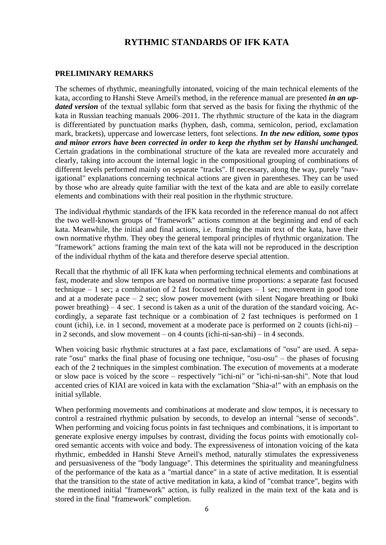## **RYTHMIC STANDARDS OF IFK KATA**

#### **PRELIMINARY REMARKS**

The schemes of rhythmic, meaningfully intonated, voicing of the main technical elements of the kata, according to Hanshi Steve Arneil's method, in the reference manual are presented *in an updated version* of the textual syllabic form that served as the basis for fixing the rhythmic of the kata in Russian teaching manuals 2006–2011. The rhythmic structure of the kata in the diagram is differentiated by punctuation marks (hyphen, dash, comma, semicolon, period, exclamation mark, brackets), uppercase and lowercase letters, font selections. *In the new edition, some typos and minor errors have been corrected in order to keep the rhythm set by Hanshi unchanged.* Certain gradations in the combinational structure of the kata are revealed more accurately and clearly, taking into account the internal logic in the compositional grouping of combinations of different levels performed mainly on separate "tracks". If necessary, along the way, purely "navigational" explanations concerning technical actions are given in parentheses. They can be used by those who are already quite familiar with the text of the kata and are able to easily correlate elements and combinations with their real position in the rhythmic structure.

The individual rhythmic standards of the IFK kata recorded in the reference manual do not affect the two well-known groups of "framework" actions common at the beginning and end of each kata. Meanwhile, the initial and final actions, i.e. framing the main text of the kata, have their own normative rhythm. They obey the general temporal principles of rhythmic organization. The "framework" actions framing the main text of the kata will not be reproduced in the description of the individual rhythm of the kata and therefore deserve special attention.

Recall that the rhythmic of all IFK kata when performing technical elements and combinations at fast, moderate and slow tempos are based on normative time proportions: a separate fast focused technique – 1 sec; a combination of 2 fast focused techniques – 1 sec; movement in good tone and at a moderate pace  $-2$  sec; slow power movement (with silent Nogare breathing or Ibuki power breathing) – 4 sec. 1 second is taken as a unit of the duration of the standard voicing. Accordingly, a separate fast technique or a combination of 2 fast techniques is performed on 1 count (ichi), i.e. in 1 second, movement at a moderate pace is performed on 2 counts (ichi-ni) – in 2 seconds, and slow movement – on 4 counts (ichi-ni-san-shi) – in 4 seconds.

When voicing basic rhythmic structures at a fast pace, exclamations of "osu" are used. A separate "osu" marks the final phase of focusing one technique, "osu-osu" – the phases of focusing each of the 2 techniques in the simplest combination. The execution of movements at a moderate or slow pace is voiced by the score – respectively "ichi-ni" or "ichi-ni-san-shi". Note that loud accented cries of KIAI are voiced in kata with the exclamation "Shia-a!" with an emphasis on the initial syllable.

When performing movements and combinations at moderate and slow tempos, it is necessary to control a restrained rhythmic pulsation by seconds, to develop an internal "sense of seconds". When performing and voicing focus points in fast techniques and combinations, it is important to generate explosive energy impulses by contrast, dividing the focus points with emotionally colored semantic accents with voice and body. The expressiveness of intonation voicing of the kata rhythmic, embedded in Hanshi Steve Arneil's method, naturally stimulates the expressiveness and persuasiveness of the "body language". This determines the spirituality and meaningfulness of the performance of the kata as a "martial dance" in a state of active meditation. It is essential that the transition to the state of active meditation in kata, a kind of "combat trance", begins with the mentioned initial "framework" action, is fully realized in the main text of the kata and is stored in the final "framework" completion.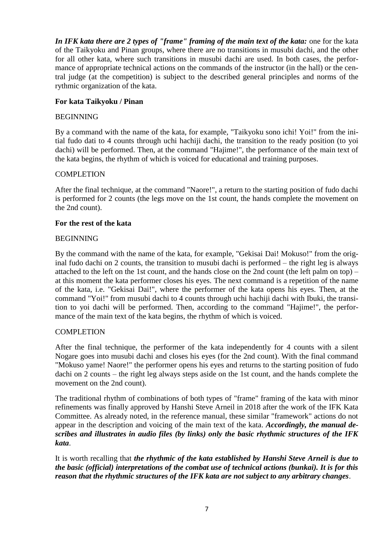*In IFK kata there are 2 types of "frame" framing of the main text of the kata:* one for the kata of the Taikyoku and Pinan groups, where there are no transitions in musubi dachi, and the other for all other kata, where such transitions in musubi dachi are used. In both cases, the performance of appropriate technical actions on the commands of the instructor (in the hall) or the central judge (at the competition) is subject to the described general principles and norms of the rythmic organization of the kata.

## **For kata Taikyoku / Pinan**

#### BEGINNING

By a command with the name of the kata, for example, "Taikyoku sono ichi! Yoi!" from the initial fudo dati to 4 counts through uchi hachiji dachi, the transition to the ready position (to yoi dachi) will be performed. Then, at the command "Hajime!", the performance of the main text of the kata begins, the rhythm of which is voiced for educational and training purposes.

### COMPLETION

After the final technique, at the command "Naore!", a return to the starting position of fudo dachi is performed for 2 counts (the legs move on the 1st count, the hands complete the movement on the 2nd count).

#### **For the rest of the kata**

### BEGINNING

By the command with the name of the kata, for example, "Gekisai Dai! Mokuso!" from the original fudo dachi on 2 counts, the transition to musubi dachi is performed – the right leg is always attached to the left on the 1st count, and the hands close on the 2nd count (the left palm on top) – at this moment the kata performer closes his eyes. The next command is a repetition of the name of the kata, i.e. "Gekisai Dai!", where the performer of the kata opens his eyes. Then, at the command "Yoi!" from musubi dachi to 4 counts through uchi hachiji dachi with Ibuki, the transition to yoi dachi will be performed. Then, according to the command "Hajime!", the performance of the main text of the kata begins, the rhythm of which is voiced.

#### **COMPLETION**

After the final technique, the performer of the kata independently for 4 counts with a silent Nogare goes into musubi dachi and closes his eyes (for the 2nd count). With the final command "Mokuso yame! Naore!" the performer opens his eyes and returns to the starting position of fudo dachi on 2 counts – the right leg always steps aside on the 1st count, and the hands complete the movement on the 2nd count).

The traditional rhythm of combinations of both types of "frame" framing of the kata with minor refinements was finally approved by Hanshi Steve Arneil in 2018 after the work of the IFK Kata Committee. As already noted, in the reference manual, these similar "framework" actions do not appear in the description and voicing of the main text of the kata. *Accordingly, the manual describes and illustrates in audio files (by links) only the basic rhythmic structures of the IFK kata*.

It is worth recalling that *the rhythmic of the kata established by Hanshi Steve Arneil is due to the basic (official) interpretations of the combat use of technical actions (bunkai). It is for this reason that the rhythmic structures of the IFK kata are not subject to any arbitrary changes*.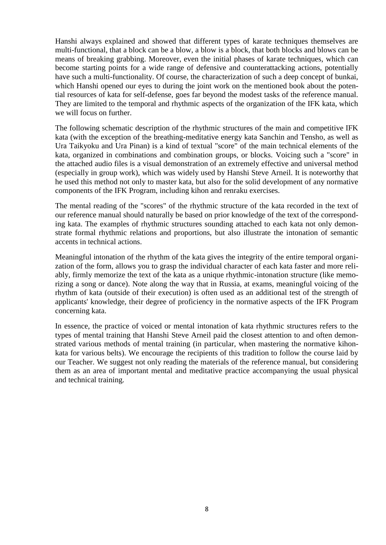Hanshi always explained and showed that different types of karate techniques themselves are multi-functional, that a block can be a blow, a blow is a block, that both blocks and blows can be means of breaking grabbing. Moreover, even the initial phases of karate techniques, which can become starting points for a wide range of defensive and counterattacking actions, potentially have such a multi-functionality. Of course, the characterization of such a deep concept of bunkai, which Hanshi opened our eyes to during the joint work on the mentioned book about the potential resources of kata for self-defense, goes far beyond the modest tasks of the reference manual. They are limited to the temporal and rhythmic aspects of the organization of the IFK kata, which we will focus on further.

The following schematic description of the rhythmic structures of the main and competitive IFK kata (with the exception of the breathing-meditative energy kata Sanchin and Tensho, as well as Ura Taikyoku and Ura Pinan) is a kind of textual "score" of the main technical elements of the kata, organized in combinations and combination groups, or blocks. Voicing such a "score" in the attached audio files is a visual demonstration of an extremely effective and universal method (especially in group work), which was widely used by Hanshi Steve Arneil. It is noteworthy that he used this method not only to master kata, but also for the solid development of any normative components of the IFK Program, including kihon and renraku exercises.

The mental reading of the "scores" of the rhythmic structure of the kata recorded in the text of our reference manual should naturally be based on prior knowledge of the text of the corresponding kata. The examples of rhythmic structures sounding attached to each kata not only demonstrate formal rhythmic relations and proportions, but also illustrate the intonation of semantic accents in technical actions.

Meaningful intonation of the rhythm of the kata gives the integrity of the entire temporal organization of the form, allows you to grasp the individual character of each kata faster and more reliably, firmly memorize the text of the kata as a unique rhythmic-intonation structure (like memorizing a song or dance). Note along the way that in Russia, at exams, meaningful voicing of the rhythm of kata (outside of their execution) is often used as an additional test of the strength of applicants' knowledge, their degree of proficiency in the normative aspects of the IFK Program concerning kata.

In essence, the practice of voiced or mental intonation of kata rhythmic structures refers to the types of mental training that Hanshi Steve Arneil paid the closest attention to and often demonstrated various methods of mental training (in particular, when mastering the normative kihonkata for various belts). We encourage the recipients of this tradition to follow the course laid by our Teacher. We suggest not only reading the materials of the reference manual, but considering them as an area of important mental and meditative practice accompanying the usual physical and technical training.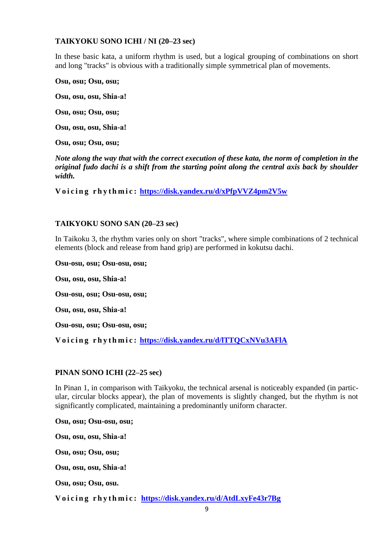### **TAIKYOKU SONO ICHI / NI (20–23 sec)**

In these basic kata, a uniform rhythm is used, but a logical grouping of combinations on short and long "tracks" is obvious with a traditionally simple symmetrical plan of movements.

**Osu, osu; Osu, osu;**

**Osu, osu, osu, Shiа-а!**

**Osu, osu; Osu, osu;**

**Osu, osu, osu, Shiа-а!**

**Osu, osu; Osu, osu;**

*Note along the way that with the correct execution of these kata, the norm of completion in the original fudo dachi is a shift from the starting point along the central axis back by shoulder width.*

**V o i c i n g r h y t h m i c : <https://disk.yandex.ru/d/xPfpVVZ4pm2V5w>**

### **TAIKYOKU SONO SAN (20–23 sec)**

In Taikoku 3, the rhythm varies only on short "tracks", where simple combinations of 2 technical elements (block and release from hand grip) are performed in kokutsu dachi.

**Osu-osu, osu; Osu-osu, osu; Osu, osu, osu, Shiа-а! Osu-osu, osu; Osu-osu, osu; Osu, osu, osu, Shiа-а! Osu-osu, osu; Osu-osu, osu; V o i c i n g r h y t h m i c : <https://disk.yandex.ru/d/lTTQCxNVu3AFlA>**

## **PINAN SONO ICHI (22–25 sec)**

In Pinan 1, in comparison with Taikyoku, the technical arsenal is noticeably expanded (in particular, circular blocks appear), the plan of movements is slightly changed, but the rhythm is not significantly complicated, maintaining a predominantly uniform character.

**Osu, osu; Osu-osu, osu;**

**Osu, osu, osu, Shiа-а!**

**Osu, osu; Osu, osu;**

**Osu, osu, osu, Shiа-а!**

**Osu, osu; Osu, osu.**

**V o i c i n g r h y t h m i c : <https://disk.yandex.ru/d/AtdLxyFe43r7Bg>**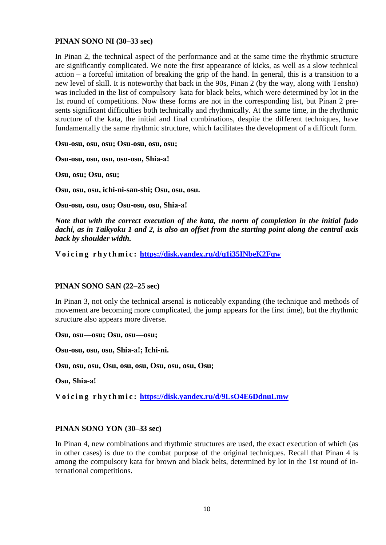#### **PINAN SONO NI (30–33 sec)**

In Pinan 2, the technical aspect of the performance and at the same time the rhythmic structure are significantly complicated. We note the first appearance of kicks, as well as a slow technical action – a forceful imitation of breaking the grip of the hand. In general, this is a transition to a new level of skill. It is noteworthy that back in the 90s, Pinan 2 (by the way, along with Tensho) was included in the list of compulsory kata for black belts, which were determined by lot in the 1st round of competitions. Now these forms are not in the corresponding list, but Pinan 2 presents significant difficulties both technically and rhythmically. At the same time, in the rhythmic structure of the kata, the initial and final combinations, despite the different techniques, have fundamentally the same rhythmic structure, which facilitates the development of a difficult form.

**Osu-osu, osu, osu; Osu-osu, osu, osu;**

**Osu-osu, osu, osu, osu-osu, Shiа-а!**

**Osu, osu; Osu, osu;**

**Osu, osu, osu, ichi-ni-san-shi; Osu, osu, osu.**

**Osu-osu, osu, osu; Osu-osu, osu, Shiа-а!**

*Note that with the correct execution of the kata, the norm of completion in the initial fudo dachi, as in Taikyoku 1 and 2, is also an offset from the starting point along the central axis back by shoulder width.*

**V o i c i n g r h y t h m i c : <https://disk.yandex.ru/d/q1i35INbeK2Fqw>**

#### **PINAN SONO SAN (22–25 sec)**

In Pinan 3, not only the technical arsenal is noticeably expanding (the technique and methods of movement are becoming more complicated, the jump appears for the first time), but the rhythmic structure also appears more diverse.

**Osu, osu—osu; Osu, osu—osu;**

**Osu-osu, osu, osu, Shiа-а!; Ichi-ni.**

**Osu, osu, osu, Osu, osu, osu, Osu, osu, osu, Osu;**

**Osu, Shiа-а!**

**V o i c i n g r h y t h m i c : <https://disk.yandex.ru/d/9LsO4E6DdnuLmw>**

#### **PINAN SONO YON (30–33 sec)**

In Pinan 4, new combinations and rhythmic structures are used, the exact execution of which (as in other cases) is due to the combat purpose of the original techniques. Recall that Pinan 4 is among the compulsory kata for brown and black belts, determined by lot in the 1st round of international competitions.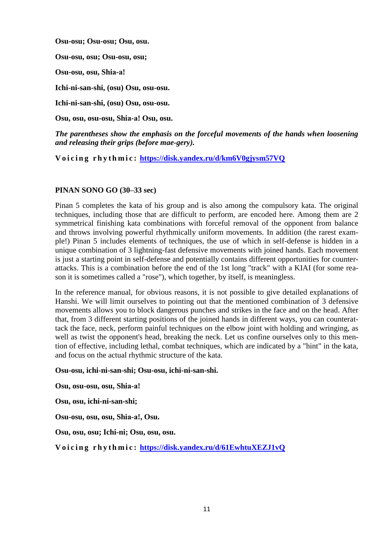**Osu-osu; Osu-osu; Osu, osu.**

**Osu-osu, osu; Osu-osu, osu;**

**Osu-osu, osu, Shiа-а!**

**Ichi-ni-san-shi, (osu) Osu, osu-osu.**

**Ichi-ni-san-shi, (osu) Osu, osu-osu.**

**Osu, osu, osu-osu, Shiа-а! Osu, osu.**

*The parentheses show the emphasis on the forceful movements of the hands when loosening and releasing their grips (before mae-gery).*

**V o i c i n g r h y t h m i c : <https://disk.yandex.ru/d/km6V0gjysm57VQ>**

### **PINAN SONO GO (30–33 sec)**

Pinan 5 completes the kata of his group and is also among the compulsory kata. The original techniques, including those that are difficult to perform, are encoded here. Among them are 2 symmetrical finishing kata combinations with forceful removal of the opponent from balance and throws involving powerful rhythmically uniform movements. In addition (the rarest example!) Pinan 5 includes elements of techniques, the use of which in self-defense is hidden in a unique combination of 3 lightning-fast defensive movements with joined hands. Each movement is just a starting point in self-defense and potentially contains different opportunities for counterattacks. This is a combination before the end of the 1st long "track" with a KIAI (for some reason it is sometimes called a "rose"), which together, by itself, is meaningless.

In the reference manual, for obvious reasons, it is not possible to give detailed explanations of Hanshi. We will limit ourselves to pointing out that the mentioned combination of 3 defensive movements allows you to block dangerous punches and strikes in the face and on the head. After that, from 3 different starting positions of the joined hands in different ways, you can counterattack the face, neck, perform painful techniques on the elbow joint with holding and wringing, as well as twist the opponent's head, breaking the neck. Let us confine ourselves only to this mention of effective, including lethal, combat techniques, which are indicated by a "hint" in the kata, and focus on the actual rhythmic structure of the kata.

#### **Osu-osu, ichi-ni-san-shi; Osu-osu, ichi-ni-san-shi.**

**Osu, osu-osu, osu, Shiа-а!**

**Osu, osu, ichi-ni-san-shi;**

**Osu-osu, osu, osu, Shiа-а!, Osu.**

**Osu, osu, osu; Ichi-ni; Osu, osu, osu.**

**V o i c i n g r h y t h m i c : <https://disk.yandex.ru/d/61EwhtuXEZJ1vQ>**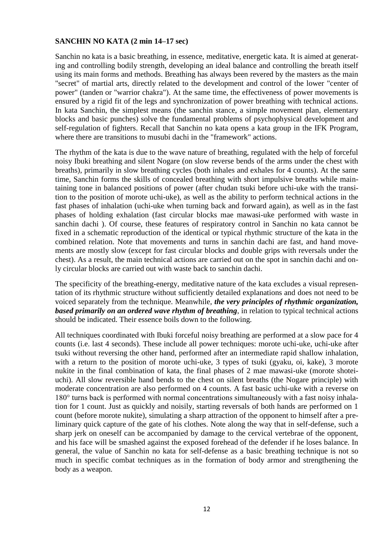### **SANCHIN NO KATA (2 min 14–17 sec)**

Sanchin no kata is a basic breathing, in essence, meditative, energetic kata. It is aimed at generating and controlling bodily strength, developing an ideal balance and controlling the breath itself using its main forms and methods. Breathing has always been revered by the masters as the main "secret" of martial arts, directly related to the development and control of the lower "center of power" (tanden or "warrior chakra"). At the same time, the effectiveness of power movements is ensured by a rigid fit of the legs and synchronization of power breathing with technical actions. In kata Sanchin, the simplest means (the sanchin stance, a simple movement plan, elementary blocks and basic punches) solve the fundamental problems of psychophysical development and self-regulation of fighters. Recall that Sanchin no kata opens a kata group in the IFK Program, where there are transitions to musubi dachi in the "framework" actions.

The rhythm of the kata is due to the wave nature of breathing, regulated with the help of forceful noisy Ibuki breathing and silent Nogare (on slow reverse bends of the arms under the chest with breaths), primarily in slow breathing cycles (both inhales and exhales for 4 counts). At the same time, Sanchin forms the skills of concealed breathing with short impulsive breaths while maintaining tone in balanced positions of power (after chudan tsuki before uchi-uke with the transition to the position of morote uchi-uke), as well as the ability to perform technical actions in the fast phases of inhalation (uchi-uke when turning back and forward again), as well as in the fast phases of holding exhalation (fast circular blocks mae mawasi-uke performed with waste in sanchin dachi ). Of course, these features of respiratory control in Sanchin no kata cannot be fixed in a schematic reproduction of the identical or typical rhythmic structure of the kata in the combined relation. Note that movements and turns in sanchin dachi are fast, and hand movements are mostly slow (except for fast circular blocks and double grips with reversals under the chest). As a result, the main technical actions are carried out on the spot in sanchin dachi and only circular blocks are carried out with waste back to sanchin dachi.

The specificity of the breathing-energy, meditative nature of the kata excludes a visual representation of its rhythmic structure without sufficiently detailed explanations and does not need to be voiced separately from the technique. Meanwhile, *the very principles of rhythmic organization, based primarily on an ordered wave rhythm of breathing*, in relation to typical technical actions should be indicated. Their essence boils down to the following.

All techniques coordinated with Ibuki forceful noisy breathing are performed at a slow pace for 4 counts (i.e. last 4 seconds). These include all power techniques: morote uchi-uke, uchi-uke after tsuki without reversing the other hand, performed after an intermediate rapid shallow inhalation, with a return to the position of morote uchi-uke, 3 types of tsuki (gyaku, oi, kake), 3 morote nukite in the final combination of kata, the final phases of 2 mae mawasi-uke (morote shoteiuchi). All slow reversible hand bends to the chest on silent breaths (the Nogare principle) with moderate concentration are also performed on 4 counts. A fast basic uchi-uke with a reverse on 180° turns back is performed with normal concentrations simultaneously with a fast noisy inhalation for 1 count. Just as quickly and noisily, starting reversals of both hands are performed on 1 count (before morote nukite), simulating a sharp attraction of the opponent to himself after a preliminary quick capture of the gate of his clothes. Note along the way that in self-defense, such a sharp jerk on oneself can be accompanied by damage to the cervical vertebrae of the opponent, and his face will be smashed against the exposed forehead of the defender if he loses balance. In general, the value of Sanchin no kata for self-defense as a basic breathing technique is not so much in specific combat techniques as in the formation of body armor and strengthening the body as a weapon.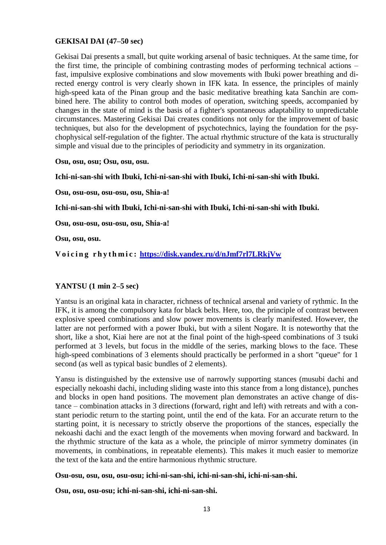#### **GEKISAI DAI (47–50 sec)**

Gekisai Dai presents a small, but quite working arsenal of basic techniques. At the same time, for the first time, the principle of combining contrasting modes of performing technical actions – fast, impulsive explosive combinations and slow movements with Ibuki power breathing and directed energy control is very clearly shown in IFK kata. In essence, the principles of mainly high-speed kata of the Pinan group and the basic meditative breathing kata Sanchin are combined here. The ability to control both modes of operation, switching speeds, accompanied by changes in the state of mind is the basis of a fighter's spontaneous adaptability to unpredictable circumstances. Mastering Gekisai Dai creates conditions not only for the improvement of basic techniques, but also for the development of psychotechnics, laying the foundation for the psychophysical self-regulation of the fighter. The actual rhythmic structure of the kata is structurally simple and visual due to the principles of periodicity and symmetry in its organization.

**Osu, osu, osu; Osu, osu, osu.**

**Ichi-ni-san-shi with Ibuki, Ichi-ni-san-shi with Ibuki, Ichi-ni-san-shi with Ibuki.**

**Osu, osu-osu, osu-osu, osu, Shiа-а!**

**Ichi-ni-san-shi with Ibuki, Ichi-ni-san-shi with Ibuki, Ichi-ni-san-shi with Ibuki.**

**Osu, osu-osu, osu-osu, osu, Shiа-а!**

**Osu, osu, osu.**

**V o i c i n g r h y t h m i c : <https://disk.yandex.ru/d/nJmf7rl7LRkjVw>**

## **YANTSU (1 min 2–5 sec)**

Yantsu is an original kata in character, richness of technical arsenal and variety of rythmic. In the IFK, it is among the compulsory kata for black belts. Here, too, the principle of contrast between explosive speed combinations and slow power movements is clearly manifested. However, the latter are not performed with a power Ibuki, but with a silent Nogare. It is noteworthy that the short, like a shot, Kiai here are not at the final point of the high-speed combinations of 3 tsuki performed at 3 levels, but focus in the middle of the series, marking blows to the face. These high-speed combinations of 3 elements should practically be performed in a short "queue" for 1 second (as well as typical basic bundles of 2 elements).

Yansu is distinguished by the extensive use of narrowly supporting stances (musubi dachi and especially nekoashi dachi, including sliding waste into this stance from a long distance), punches and blocks in open hand positions. The movement plan demonstrates an active change of distance – combination attacks in 3 directions (forward, right and left) with retreats and with a constant periodic return to the starting point, until the end of the kata. For an accurate return to the starting point, it is necessary to strictly observe the proportions of the stances, especially the nekoashi dachi and the exact length of the movements when moving forward and backward. In the rhythmic structure of the kata as a whole, the principle of mirror symmetry dominates (in movements, in combinations, in repeatable elements). This makes it much easier to memorize the text of the kata and the entire harmonious rhythmic structure.

**Osu-osu, osu, osu, osu-osu; ichi-ni-san-shi, ichi-ni-san-shi, ichi-ni-san-shi.**

**Osu, osu, osu-osu; ichi-ni-san-shi, ichi-ni-san-shi.**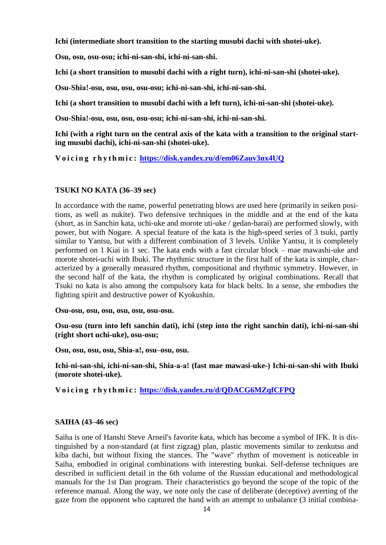**Ichi (intermediate short transition to the starting musubi dachi with shotei-uke).**

**Osu, osu, osu-osu; ichi-ni-san-shi, ichi-ni-san-shi.**

**Ichi (a short transition to musubi dachi with a right turn), ichi-ni-san-shi (shotei-uke).**

**Osu-Shiа!-osu, osu, osu, osu-osu; ichi-ni-san-shi, ichi-ni-san-shi.**

**Ichi (a short transition to musubi dachi with a left turn), ichi-ni-san-shi (shotei-uke).**

**Osu-Shiа!-osu, osu, osu, osu-osu; ichi-ni-san-shi, ichi-ni-san-shi.**

**Ichi (with a right turn on the central axis of the kata with a transition to the original starting musubi dachi), ichi-ni-san-shi (shotei-uke).**

**V o i c i n g r h y t h m i c : <https://disk.yandex.ru/d/em06Zauv3nx4UQ>**

### **TSUKI NO KATA (36–39 sec)**

In accordance with the name, powerful penetrating blows are used here (primarily in seiken positions, as well as nukite). Two defensive techniques in the middle and at the end of the kata (short, as in Sanchin kata, uchi-uke and morote uti-uke / gedan-barai) are performed slowly, with power, but with Nogare. A special feature of the kata is the high-speed series of 3 tsuki, partly similar to Yantsu, but with a different combination of 3 levels. Unlike Yantsu, it is completely performed on 1 Kiai in 1 sec. The kata ends with a fast circular block – mae mawashi-uke and morote shotei-uchi with Ibuki. The rhythmic structure in the first half of the kata is simple, characterized by a generally measured rhythm, compositional and rhythmic symmetry. However, in the second half of the kata, the rhythm is complicated by original combinations. Recall that Tsuki no kata is also among the compulsory kata for black belts. In a sense, she embodies the fighting spirit and destructive power of Kyokushin.

**Osu-osu, osu, osu, osu, osu, osu-osu.**

**Osu-osu (turn into left sanchin dati), ichi (step into the right sanchin dati), ichi-ni-san-shi (right short uchi-uke), osu-osu;**

**Osu, osu, osu, osu, Shiа-а!, osu–osu, osu.**

**Ichi-ni-san-shi, ichi-ni-san-shi, Shiа-а-а! (fast mae mawasi-uke-) Ichi-ni-san-shi with Ibuki (morote shotei-uke).**

**V o i c i n g r h y t h m i c : <https://disk.yandex.ru/d/QDACG6MZqfCFPQ>**

#### **SAIHA (43–46 sec)**

Saiha is one of Hanshi Steve Arneil's favorite kata, which has become a symbol of IFK. It is distinguished by a non-standard (at first zigzag) plan, plastic movements similar to zenkutsu and kiba dachi, but without fixing the stances. The "wave" rhythm of movement is noticeable in Saiha, embodied in original combinations with interesting bunkai. Self-defense techniques are described in sufficient detail in the 6th volume of the Russian educational and methodological manuals for the 1st Dan program. Their characteristics go beyond the scope of the topic of the reference manual. Along the way, we note only the case of deliberate (deceptive) averting of the gaze from the opponent who captured the hand with an attempt to unbalance (3 initial combina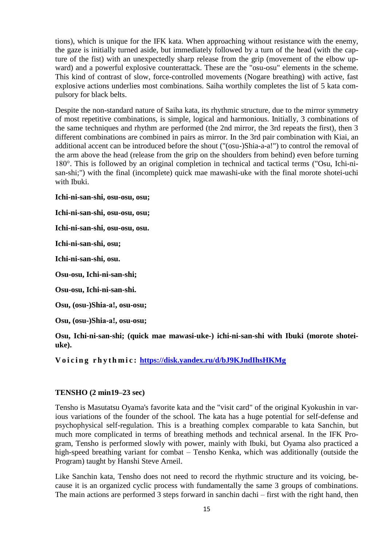tions), which is unique for the IFK kata. When approaching without resistance with the enemy, the gaze is initially turned aside, but immediately followed by a turn of the head (with the capture of the fist) with an unexpectedly sharp release from the grip (movement of the elbow upward) and a powerful explosive counterattack. These are the "osu-osu" elements in the scheme. This kind of contrast of slow, force-controlled movements (Nogare breathing) with active, fast explosive actions underlies most combinations. Saiha worthily completes the list of 5 kata compulsory for black belts.

Despite the non-standard nature of Saiha kata, its rhythmic structure, due to the mirror symmetry of most repetitive combinations, is simple, logical and harmonious. Initially, 3 combinations of the same techniques and rhythm are performed (the 2nd mirror, the 3rd repeats the first), then 3 different combinations are combined in pairs as mirror. In the 3rd pair combination with Kiai, an additional accent can be introduced before the shout ("(osu-)Shia-a-a!") to control the removal of the arm above the head (release from the grip on the shoulders from behind) even before turning 180°. This is followed by an original completion in technical and tactical terms ("Osu, Ichi-nisan-shi;") with the final (incomplete) quick mae mawashi-uke with the final morote shotei-uchi with Ibuki.

**Ichi-ni-san-shi, osu-osu, osu;**

**Ichi-ni-san-shi, osu-osu, osu;**

**Ichi-ni-san-shi, osu-osu, osu.**

**Ichi-ni-san-shi, osu;**

**Ichi-ni-san-shi, osu.**

**Osu-osu, Ichi-ni-san-shi;**

**Osu-osu, Ichi-ni-san-shi.**

**Osu, (osu-)Shiа-а!, osu-osu;**

**Osu, (osu-)Shiа-а!, osu-osu;**

**Osu, Ichi-ni-san-shi; (quick mae mawasi-uke-) ichi-ni-san-shi with Ibuki (morote shoteiuke).**

**V o i c i n g r h y t h m i c : <https://disk.yandex.ru/d/bJ9KJndIhsHKMg>**

#### **TENSHO (2 min19–23 sec)**

Tensho is Masutatsu Oyama's favorite kata and the "visit card" of the original Kyokushin in various variations of the founder of the school. The kata has a huge potential for self-defense and psychophysical self-regulation. This is a breathing complex comparable to kata Sanchin, but much more complicated in terms of breathing methods and technical arsenal. In the IFK Program, Tensho is performed slowly with power, mainly with Ibuki, but Oyama also practiced a high-speed breathing variant for combat – Tensho Kenka, which was additionally (outside the Program) taught by Hanshi Steve Arneil.

Like Sanchin kata, Tensho does not need to record the rhythmic structure and its voicing, because it is an organized cyclic process with fundamentally the same 3 groups of combinations. The main actions are performed 3 steps forward in sanchin dachi – first with the right hand, then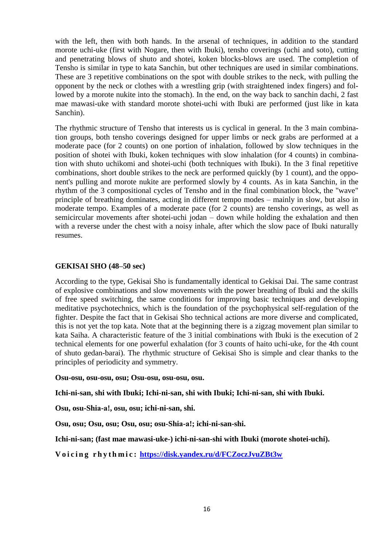with the left, then with both hands. In the arsenal of techniques, in addition to the standard morote uchi-uke (first with Nogare, then with Ibuki), tensho coverings (uchi and soto), cutting and penetrating blows of shuto and shotei, koken blocks-blows are used. The completion of Tensho is similar in type to kata Sanchin, but other techniques are used in similar combinations. These are 3 repetitive combinations on the spot with double strikes to the neck, with pulling the opponent by the neck or clothes with a wrestling grip (with straightened index fingers) and followed by a morote nukite into the stomach). In the end, on the way back to sanchin dachi, 2 fast mae mawasi-uke with standard morote shotei-uchi with Ibuki are performed (just like in kata Sanchin).

The rhythmic structure of Tensho that interests us is cyclical in general. In the 3 main combination groups, both tensho coverings designed for upper limbs or neck grabs are performed at a moderate pace (for 2 counts) on one portion of inhalation, followed by slow techniques in the position of shotei with Ibuki, koken techniques with slow inhalation (for 4 counts) in combination with shuto uchikomi and shotei-uchi (both techniques with Ibuki). In the 3 final repetitive combinations, short double strikes to the neck are performed quickly (by 1 count), and the opponent's pulling and morote nukite are performed slowly by 4 counts. As in kata Sanchin, in the rhythm of the 3 compositional cycles of Tensho and in the final combination block, the "wave" principle of breathing dominates, acting in different tempo modes – mainly in slow, but also in moderate tempo. Examples of a moderate pace (for 2 counts) are tensho coverings, as well as semicircular movements after shotei-uchi jodan – down while holding the exhalation and then with a reverse under the chest with a noisy inhale, after which the slow pace of Ibuki naturally resumes.

### **GEKISAI SHO (48–50 sec)**

According to the type, Gekisai Sho is fundamentally identical to Gekisai Dai. The same contrast of explosive combinations and slow movements with the power breathing of Ibuki and the skills of free speed switching, the same conditions for improving basic techniques and developing meditative psychotechnics, which is the foundation of the psychophysical self-regulation of the fighter. Despite the fact that in Gekisai Sho technical actions are more diverse and complicated, this is not yet the top kata. Note that at the beginning there is a zigzag movement plan similar to kata Saiha. A characteristic feature of the 3 initial combinations with Ibuki is the execution of 2 technical elements for one powerful exhalation (for 3 counts of haito uchi-uke, for the 4th count of shuto gedan-barai). The rhythmic structure of Gekisai Sho is simple and clear thanks to the principles of periodicity and symmetry.

**Osu-osu, osu-osu, osu; Osu-osu, osu-osu, osu.**

**Ichi-ni-san, shi with Ibuki; Ichi-ni-san, shi with Ibuki; Ichi-ni-san, shi with Ibuki.**

**Osu, osu-Shiа-а!, osu, osu; ichi-ni-san, shi.**

**Osu, osu; Osu, osu; Osu, osu; osu-Shiа-а!; ichi-ni-san-shi.**

**Ichi-ni-san; (fast mae mawasi-uke-) ichi-ni-san-shi with Ibuki (morote shotei-uchi).**

**V o i c i n g r h y t h m i c : <https://disk.yandex.ru/d/FCZoczJvuZBt3w>**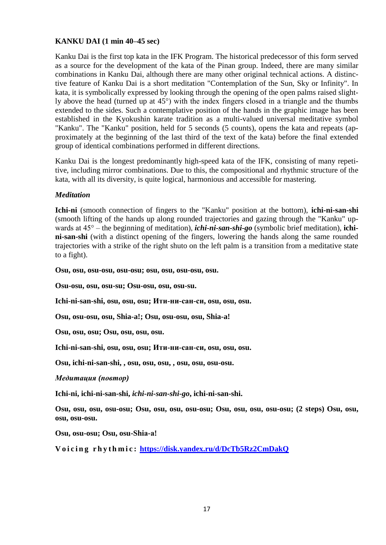## **KANKU DAI (1 min 40–45 sec)**

Kanku Dai is the first top kata in the IFK Program. The historical predecessor of this form served as a source for the development of the kata of the Pinan group. Indeed, there are many similar combinations in Kanku Dai, although there are many other original technical actions. A distinctive feature of Kanku Dai is a short meditation "Contemplation of the Sun, Sky or Infinity". In kata, it is symbolically expressed by looking through the opening of the open palms raised slightly above the head (turned up at 45°) with the index fingers closed in a triangle and the thumbs extended to the sides. Such a contemplative position of the hands in the graphic image has been established in the Kyokushin karate tradition as a multi-valued universal meditative symbol "Kanku". The "Kanku" position, held for 5 seconds (5 counts), opens the kata and repeats (approximately at the beginning of the last third of the text of the kata) before the final extended group of identical combinations performed in different directions.

Kanku Dai is the longest predominantly high-speed kata of the IFK, consisting of many repetitive, including mirror combinations. Due to this, the compositional and rhythmic structure of the kata, with all its diversity, is quite logical, harmonious and accessible for mastering.

### *Meditation*

**Ichi-ni** (smooth connection of fingers to the "Kanku" position at the bottom), **ichi-ni-san-shi** (smooth lifting of the hands up along rounded trajectories and gazing through the "Kanku" upwards at 45° – the beginning of meditation), *ichi-ni-san-shi-go* (symbolic brief meditation), **ichini-san-shi** (with a distinct opening of the fingers, lowering the hands along the same rounded trajectories with a strike of the right shuto on the left palm is a transition from a meditative state to a fight).

**Osu, osu, osu-osu, osu-osu; osu, osu, osu-osu, osu.**

**Osu-osu, osu, osu-su; Osu-osu, osu, osu-su.**

**Ichi-ni-san-shi, osu, osu, osu; Ити-ни-сан-си, osu, osu, osu.**

**Osu, osu-osu, osu, Shia-a!; Osu, osu-osu, osu, Shia-a!**

**Osu, osu, osu; Osu, osu, osu, osu.** 

**Ichi-ni-san-shi, osu, osu, osu; Ити-ни-сан-си, osu, osu, osu.**

**Osu, ichi-ni-san-shi, , osu, osu, osu, , osu, osu, osu-osu.**

*Медитация (повтор)*

**Ichi-ni, ichi-ni-san-shi,** *ichi-ni-san-shi-go***, ichi-ni-san-shi.**

**Osu, osu, osu, osu-osu; Osu, osu, osu, osu-osu; Osu, osu, osu, osu-osu; (2 steps) Osu, osu, osu, osu-osu.**

**Osu, osu-osu; Osu, osu-Shiа-а!**

**V o i c i n g r h y t h m i c : <https://disk.yandex.ru/d/DcTb5Rz2CmDakQ>**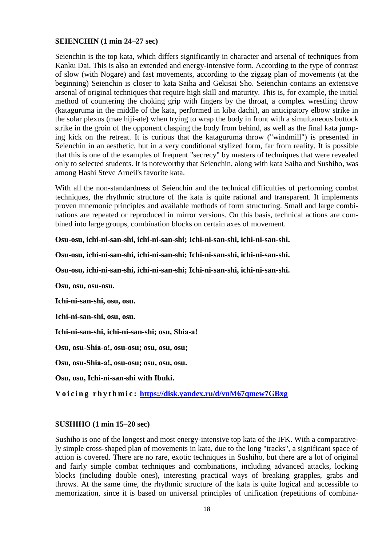#### **SEIENCHIN (1 min 24–27 sec)**

Seienchin is the top kata, which differs significantly in character and arsenal of techniques from Kanku Dai. This is also an extended and energy-intensive form. According to the type of contrast of slow (with Nogare) and fast movements, according to the zigzag plan of movements (at the beginning) Seienchin is closer to kata Saiha and Gekisai Sho. Seienchin contains an extensive arsenal of original techniques that require high skill and maturity. This is, for example, the initial method of countering the choking grip with fingers by the throat, a complex wrestling throw (kataguruma in the middle of the kata, performed in kiba dachi), an anticipatory elbow strike in the solar plexus (mae hiji-ate) when trying to wrap the body in front with a simultaneous buttock strike in the groin of the opponent clasping the body from behind, as well as the final kata jumping kick on the retreat. It is curious that the kataguruma throw ("windmill") is presented in Seienchin in an aesthetic, but in a very conditional stylized form, far from reality. It is possible that this is one of the examples of frequent "secrecy" by masters of techniques that were revealed only to selected students. It is noteworthy that Seienchin, along with kata Saiha and Sushiho, was among Hashi Steve Arneil's favorite kata.

With all the non-standardness of Seienchin and the technical difficulties of performing combat techniques, the rhythmic structure of the kata is quite rational and transparent. It implements proven mnemonic principles and available methods of form structuring. Small and large combinations are repeated or reproduced in mirror versions. On this basis, technical actions are combined into large groups, combination blocks on certain axes of movement.

#### **Osu-osu, ichi-ni-san-shi, ichi-ni-san-shi; Ichi-ni-san-shi, ichi-ni-san-shi.**

**Osu-osu, ichi-ni-san-shi, ichi-ni-san-shi; Ichi-ni-san-shi, ichi-ni-san-shi.**

**Osu-osu, ichi-ni-san-shi, ichi-ni-san-shi; Ichi-ni-san-shi, ichi-ni-san-shi.**

**Osu, osu, osu-osu.**

**Ichi-ni-san-shi, osu, osu.**

**Ichi-ni-san-shi, osu, osu.**

**Ichi-ni-san-shi, ichi-ni-san-shi; osu, Shiа-а!**

**Osu, osu-Shiа-а!, osu-osu; osu, osu, osu;**

**Osu, osu-Shiа-а!, osu-osu; osu, osu, osu.**

**Osu, osu, Ichi-ni-san-shi with Ibuki.**

**V o i c i n g r h y t h m i c : <https://disk.yandex.ru/d/vnM67qmew7GBxg>**

#### **SUSHIHO (1 min 15–20 sec)**

Sushiho is one of the longest and most energy-intensive top kata of the IFK. With a comparatively simple cross-shaped plan of movements in kata, due to the long "tracks", a significant space of action is covered. There are no rare, exotic techniques in Sushiho, but there are a lot of original and fairly simple combat techniques and combinations, including advanced attacks, locking blocks (including double ones), interesting practical ways of breaking grapples, grabs and throws. At the same time, the rhythmic structure of the kata is quite logical and accessible to memorization, since it is based on universal principles of unification (repetitions of combina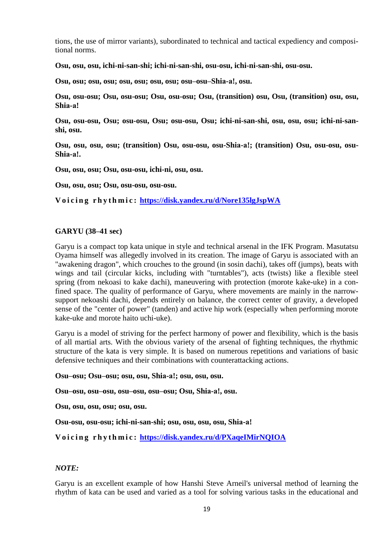tions, the use of mirror variants), subordinated to technical and tactical expediency and compositional norms.

**Osu, osu, osu, ichi-ni-san-shi; ichi-ni-san-shi, osu-osu, ichi-ni-san-shi, osu-osu.**

**Osu, osu; osu, osu; osu, osu; osu, osu; osu–osu–Shiа-а!, osu.**

**Osu, osu-osu; Osu, osu-osu; Osu, osu-osu; Osu, (transition) osu, Osu, (transition) osu, osu, Shiа-а!**

**Osu, osu-osu, Osu; osu-osu, Osu; osu-osu, Osu; ichi-ni-san-shi, osu, osu, osu; ichi-ni-sanshi, osu.** 

**Osu, osu, osu, osu; (transition) Osu, osu-osu, osu-Shiа-а!; (transition) Osu, osu-osu, osu-Shiа-а!.**

**Osu, osu, osu; Osu, osu-osu, ichi-ni, osu, osu.**

**Osu, osu, osu; Osu, osu-osu, osu-osu.**

**V o i c i n g r h y t h m i c : <https://disk.yandex.ru/d/Nore135lgJspWA>**

#### **GARYU (38–41 sec)**

Garyu is a compact top kata unique in style and technical arsenal in the IFK Program. Masutatsu Oyama himself was allegedly involved in its creation. The image of Garyu is associated with an "awakening dragon", which crouches to the ground (in sosin dachi), takes off (jumps), beats with wings and tail (circular kicks, including with "turntables"), acts (twists) like a flexible steel spring (from nekoasi to kake dachi), maneuvering with protection (morote kake-uke) in a confined space. The quality of performance of Garyu, where movements are mainly in the narrowsupport nekoashi dachi, depends entirely on balance, the correct center of gravity, a developed sense of the "center of power" (tanden) and active hip work (especially when performing morote kake-uke and morote haito uchi-uke).

Garyu is a model of striving for the perfect harmony of power and flexibility, which is the basis of all martial arts. With the obvious variety of the arsenal of fighting techniques, the rhythmic structure of the kata is very simple. It is based on numerous repetitions and variations of basic defensive techniques and their combinations with counterattacking actions.

**Osu–osu; Osu–osu; osu, osu, Shiа-а!; osu, osu, osu.**

**Osu–osu, osu–osu, osu–osu, osu–osu; Osu, Shiа-а!, osu.**

**Osu, osu, osu, osu; osu, osu.**

**Osu-osu, osu-osu; ichi-ni-san-shi; osu, osu, osu, osu, Shiа-а!**

**V o i c i n g r h y t h m i c : <https://disk.yandex.ru/d/PXaqeIMirNQIOA>**

#### *NOTE:*

Garyu is an excellent example of how Hanshi Steve Arneil's universal method of learning the rhythm of kata can be used and varied as a tool for solving various tasks in the educational and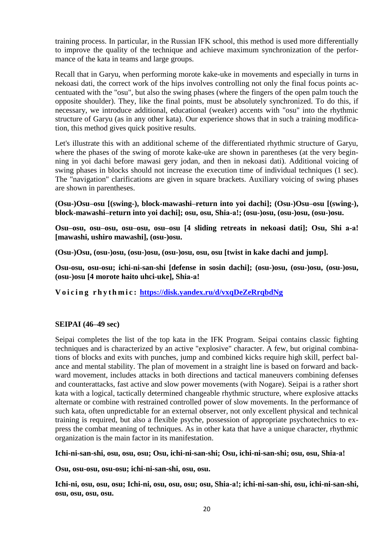training process. In particular, in the Russian IFK school, this method is used more differentially to improve the quality of the technique and achieve maximum synchronization of the performance of the kata in teams and large groups.

Recall that in Garyu, when performing morote kake-uke in movements and especially in turns in nekoasi dati, the correct work of the hips involves controlling not only the final focus points accentuated with the "osu", but also the swing phases (where the fingers of the open palm touch the opposite shoulder). They, like the final points, must be absolutely synchronized. To do this, if necessary, we introduce additional, educational (weaker) accents with "osu" into the rhythmic structure of Garyu (as in any other kata). Our experience shows that in such a training modification, this method gives quick positive results.

Let's illustrate this with an additional scheme of the differentiated rhythmic structure of Garyu, where the phases of the swing of morote kake-uke are shown in parentheses (at the very beginning in yoi dachi before mawasi gery jodan, and then in nekoasi dati). Additional voicing of swing phases in blocks should not increase the execution time of individual techniques (1 sec). The "navigation" clarifications are given in square brackets. Auxiliary voicing of swing phases are shown in parentheses.

**(Osu-)Osu–osu [(swing-), block-mawashi–return into yoi dachi]; (Osu-)Osu–osu [(swing-), block-mawashi–return into yoi dachi]; osu, osu, Shiа-а!; (osu-)osu, (osu-)osu, (osu-)osu.**

**Osu–osu, osu–osu, osu–osu, osu–osu [4 sliding retreats in nekoasi dati]; Osu, Shi а-а! [mawashi, ushiro mawashi], (osu-)osu.**

**(Osu-)Osu, (osu-)osu, (osu-)osu, (osu-)osu, osu, osu [twist in kake dachi and jump].**

**Osu-osu, osu-osu; ichi-ni-san-shi [defense in sosin dachi]; (osu-)osu, (osu-)osu, (osu-)osu, (osu-)osu [4 morote haito uhci-uke], Shiа-а!**

**V o i c i n g r h y t h m i c : <https://disk.yandex.ru/d/vxqDeZeRrqbdNg>**

## **SEIPAI (46–49 sec)**

Seipai completes the list of the top kata in the IFK Program. Seipai contains classic fighting techniques and is characterized by an active "explosive" character. A few, but original combinations of blocks and exits with punches, jump and combined kicks require high skill, perfect balance and mental stability. The plan of movement in a straight line is based on forward and backward movement, includes attacks in both directions and tactical maneuvers combining defenses and counterattacks, fast active and slow power movements (with Nogare). Seipai is a rather short kata with a logical, tactically determined changeable rhythmic structure, where explosive attacks alternate or combine with restrained controlled power of slow movements. In the performance of such kata, often unpredictable for an external observer, not only excellent physical and technical training is required, but also a flexible psyche, possession of appropriate psychotechnics to express the combat meaning of techniques. As in other kata that have a unique character, rhythmic organization is the main factor in its manifestation.

**Ichi-ni-san-shi, osu, osu, osu; Osu, ichi-ni-san-shi; Osu, ichi-ni-san-shi; osu, osu, Shiа-а!**

**Osu, osu-osu, osu-osu; ichi-ni-san-shi, osu, osu.**

**Ichi-ni, osu, osu, osu; Ichi-ni, osu, osu, osu; osu, Shiа-а!; ichi-ni-san-shi, osu, ichi-ni-san-shi, osu, osu, osu, osu.**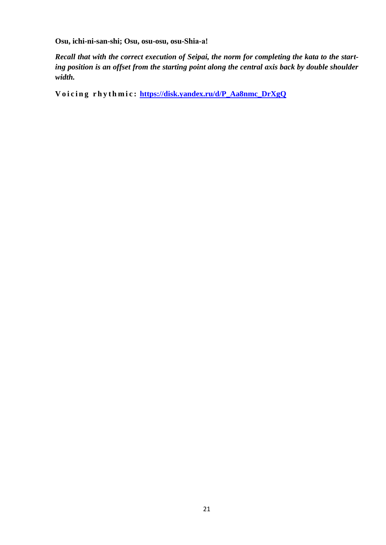**Osu, ichi-ni-san-shi; Osu, osu-osu, osu-Shiа-а!**

*Recall that with the correct execution of Seipai, the norm for completing the kata to the starting position is an offset from the starting point along the central axis back by double shoulder width.*

**V o i c i n g r h y t h m i c : [https://disk.yandex.ru/d/P\\_Aa8nmc\\_DrXgQ](https://disk.yandex.ru/d/P_Aa8nmc_DrXgQ)**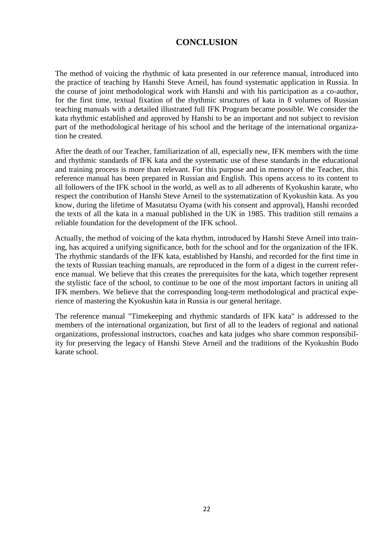# **CONCLUSION**

The method of voicing the rhythmic of kata presented in our reference manual, introduced into the practice of teaching by Hanshi Steve Arneil, has found systematic application in Russia. In the course of joint methodological work with Hanshi and with his participation as a co-author, for the first time, textual fixation of the rhythmic structures of kata in 8 volumes of Russian teaching manuals with a detailed illustrated full IFK Program became possible. We consider the kata rhythmic established and approved by Hanshi to be an important and not subject to revision part of the methodological heritage of his school and the heritage of the international organization he created.

After the death of our Teacher, familiarization of all, especially new, IFK members with the time and rhythmic standards of IFK kata and the systematic use of these standards in the educational and training process is more than relevant. For this purpose and in memory of the Teacher, this reference manual has been prepared in Russian and English. This opens access to its content to all followers of the IFK school in the world, as well as to all adherents of Kyokushin karate, who respect the contribution of Hanshi Steve Arneil to the systematization of Kyokushin kata. As you know, during the lifetime of Masutatsu Oyama (with his consent and approval), Hanshi recorded the texts of all the kata in a manual published in the UK in 1985. This tradition still remains a reliable foundation for the development of the IFK school.

Actually, the method of voicing of the kata rhythm, introduced by Hanshi Steve Arneil into training, has acquired a unifying significance, both for the school and for the organization of the IFK. The rhythmic standards of the IFK kata, established by Hanshi, and recorded for the first time in the texts of Russian teaching manuals, are reproduced in the form of a digest in the current reference manual. We believe that this creates the prerequisites for the kata, which together represent the stylistic face of the school, to continue to be one of the most important factors in uniting all IFK members. We believe that the corresponding long-term methodological and practical experience of mastering the Kyokushin kata in Russia is our general heritage.

The reference manual "Timekeeping and rhythmic standards of IFK kata" is addressed to the members of the international organization, but first of all to the leaders of regional and national organizations, professional instructors, coaches and kata judges who share common responsibility for preserving the legacy of Hanshi Steve Arneil and the traditions of the Kyokushin Budo karate school.